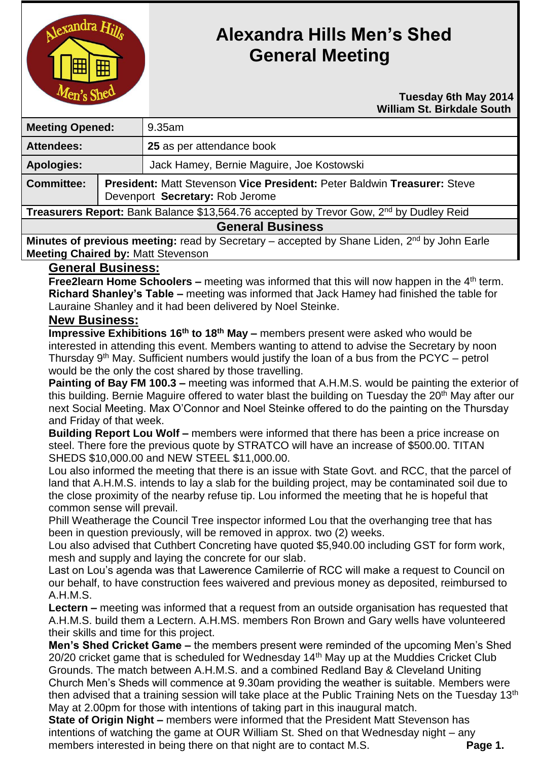

# **Alexandra Hills Men's Shed General Meeting**

#### **Tuesday 6th May 2014 William St. Birkdale South**

| <b>Meeting Opened:</b>                                                                              |  | $9.35$ am                                                                                                          |  |
|-----------------------------------------------------------------------------------------------------|--|--------------------------------------------------------------------------------------------------------------------|--|
| <b>Attendees:</b>                                                                                   |  | 25 as per attendance book                                                                                          |  |
| <b>Apologies:</b>                                                                                   |  | Jack Hamey, Bernie Maguire, Joe Kostowski                                                                          |  |
| <b>Committee:</b>                                                                                   |  | <b>President: Matt Stevenson Vice President: Peter Baldwin Treasurer: Steve</b><br>Devenport Secretary: Rob Jerome |  |
| Treasurers Report: Bank Balance \$13,564.76 accepted by Trevor Gow, 2 <sup>nd</sup> by Dudley Reid  |  |                                                                                                                    |  |
| <b>General Business</b>                                                                             |  |                                                                                                                    |  |
| <b>Alleged and the contract of the contract of the Contract Contract Contract Condition Fig. 1.</b> |  |                                                                                                                    |  |

Minutes of previous meeting: read by Secretary – accepted by Shane Liden, 2<sup>nd</sup> by John Earle **Meeting Chaired by:** Matt Stevenson

# **General Business:**

**Free2learn Home Schoolers –** meeting was informed that this will now happen in the 4<sup>th</sup> term. **Richard Shanley's Table –** meeting was informed that Jack Hamey had finished the table for Lauraine Shanley and it had been delivered by Noel Steinke.

### **New Business:**

**Impressive Exhibitions 16th to 18th May –** members present were asked who would be interested in attending this event. Members wanting to attend to advise the Secretary by noon Thursday  $9<sup>th</sup>$  May. Sufficient numbers would justify the loan of a bus from the PCYC – petrol would be the only the cost shared by those travelling.

**Painting of Bay FM 100.3 –** meeting was informed that A.H.M.S. would be painting the exterior of this building. Bernie Maguire offered to water blast the building on Tuesday the 20<sup>th</sup> May after our next Social Meeting. Max O'Connor and Noel Steinke offered to do the painting on the Thursday and Friday of that week.

**Building Report Lou Wolf –** members were informed that there has been a price increase on steel. There fore the previous quote by STRATCO will have an increase of \$500.00. TITAN SHEDS \$10,000.00 and NEW STEEL \$11,000.00.

Lou also informed the meeting that there is an issue with State Govt. and RCC, that the parcel of land that A.H.M.S. intends to lay a slab for the building project, may be contaminated soil due to the close proximity of the nearby refuse tip. Lou informed the meeting that he is hopeful that common sense will prevail.

Phill Weatherage the Council Tree inspector informed Lou that the overhanging tree that has been in question previously, will be removed in approx. two (2) weeks.

Lou also advised that Cuthbert Concreting have quoted \$5,940.00 including GST for form work, mesh and supply and laying the concrete for our slab.

Last on Lou's agenda was that Lawerence Camilerrie of RCC will make a request to Council on our behalf, to have construction fees waivered and previous money as deposited, reimbursed to A.H.M.S.

**Lectern –** meeting was informed that a request from an outside organisation has requested that A.H.M.S. build them a Lectern. A.H.MS. members Ron Brown and Gary wells have volunteered their skills and time for this project.

**Men's Shed Cricket Game –** the members present were reminded of the upcoming Men's Shed 20/20 cricket game that is scheduled for Wednesday 14th May up at the Muddies Cricket Club Grounds. The match between A.H.M.S. and a combined Redland Bay & Cleveland Uniting Church Men's Sheds will commence at 9.30am providing the weather is suitable. Members were then advised that a training session will take place at the Public Training Nets on the Tuesday 13<sup>th</sup> May at 2.00pm for those with intentions of taking part in this inaugural match.

**State of Origin Night –** members were informed that the President Matt Stevenson has intentions of watching the game at OUR William St. Shed on that Wednesday night – any members interested in being there on that night are to contact M.S. **Page 1.**